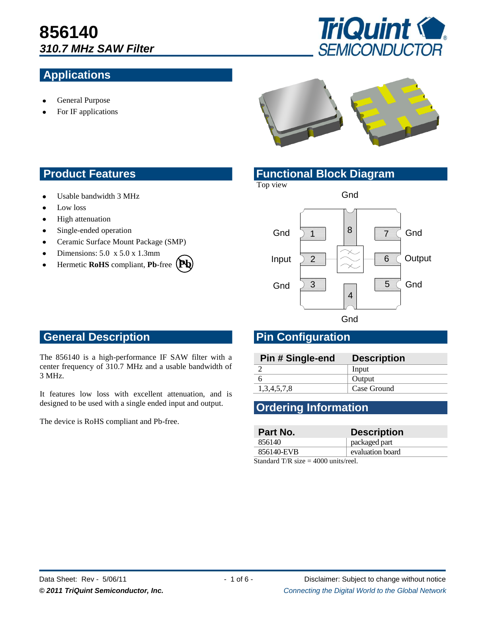# **856140** *310.7 MHz SAW Filter*

### **Applications**



- General Purpose
- For IF applications



- Usable bandwidth 3 MHz
- Low loss
- High attenuation
- Single-ended operation  $\bullet$
- Ceramic Surface Mount Package (SMP)  $\bullet$
- Dimensions: 5.0 x 5.0 x 1.3mm
- Hermetic **RoHS** compliant, **Pb**-free **Pb**

#### **Product Features <b>Functional Block Diagram**

Top view



## **General Description Pin Configuration**

The 856140 is a high-performance IF SAW filter with a center frequency of 310.7 MHz and a usable bandwidth of 3 MHz.

It features low loss with excellent attenuation, and is designed to be used with a single ended input and output.

The device is RoHS compliant and Pb-free.

| Pin # Single-end | <b>Description</b> |
|------------------|--------------------|
|                  | Input              |
|                  | Output             |
| 1,3,4,5,7,8      | Case Ground        |

#### **Ordering Information**

| Part No.                               | <b>Description</b> |  |
|----------------------------------------|--------------------|--|
| 856140                                 | packaged part      |  |
| 856140-EVB                             | evaluation board   |  |
| $Standard TD_{ciza} = 4000$ unite real |                    |  |

Standard T/R size  $=$  4000 units/reel.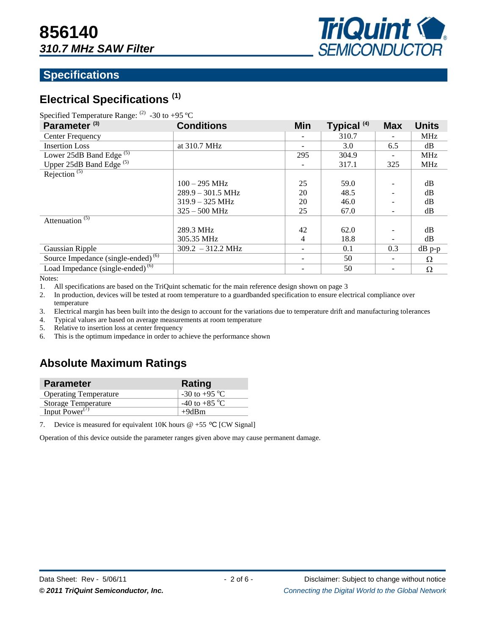

#### **Specifications**

## **Electrical Specifications (1)**

| Specified Temperature Range: $^{(2)}$ -30 to +95 °C |  |  |  |
|-----------------------------------------------------|--|--|--|
|-----------------------------------------------------|--|--|--|

| Parameter <sup>(3)</sup>                       | <b>Conditions</b>           | <b>Min</b> | Typical <sup>(4)</sup> | <b>Max</b> | <b>Units</b> |
|------------------------------------------------|-----------------------------|------------|------------------------|------------|--------------|
| Center Frequency                               |                             |            | 310.7                  |            | <b>MHz</b>   |
| <b>Insertion Loss</b>                          | at 310.7 MHz                |            | 3.0                    | 6.5        | dB           |
| Lower 25dB Band Edge <sup>(5)</sup>            |                             | 295        | 304.9                  |            | <b>MHz</b>   |
| Upper 25dB Band Edge <sup>(5)</sup>            |                             |            | 317.1                  | 325        | <b>MHz</b>   |
| Rejection <sup>(5)</sup>                       |                             |            |                        |            |              |
|                                                | $100 - 295$ MHz             | 25         | 59.0                   |            | dB           |
|                                                | $289.9 - 301.5 \text{ MHz}$ | 20         | 48.5                   |            | dB           |
|                                                | $319.9 - 325 \text{ MHz}$   | 20         | 46.0                   |            | dB           |
|                                                | $325 - 500$ MHz             | 25         | 67.0                   |            | dB           |
| Attenuation <sup>(5)</sup>                     |                             |            |                        |            |              |
|                                                | 289.3 MHz                   | 42         | 62.0                   |            | dB           |
|                                                | 305.35 MHz                  | 4          | 18.8                   |            | dB           |
| Gaussian Ripple                                | $309.2 - 312.2 \text{ MHz}$ |            | 0.1                    | 0.3        | $dB$ p-p     |
| Source Impedance (single-ended) <sup>(6)</sup> |                             |            | 50                     |            | Ω            |
| Load Impedance $(single-ended)^{(6)}$          |                             |            | 50                     |            | Ω            |

Notes:

1. All specifications are based on the TriQuint schematic for the main reference design shown on page 3

2. In production, devices will be tested at room temperature to a guardbanded specification to ensure electrical compliance over temperature

3. Electrical margin has been built into the design to account for the variations due to temperature drift and manufacturing tolerances

4. Typical values are based on average measurements at room temperature

5. Relative to insertion loss at center frequency

6. This is the optimum impedance in order to achieve the performance shown

#### **Absolute Maximum Ratings**

| <b>Parameter</b>             | Rating                  |
|------------------------------|-------------------------|
| <b>Operating Temperature</b> | -30 to +95 $^{\circ}$ C |
| <b>Storage Temperature</b>   | -40 to +85 $^{\circ}$ C |
| Input Power <sup>(7)</sup>   | $+9dBm$                 |

7. Device is measured for equivalent 10K hours  $@ + 55 °C$  [CW Signal]

Operation of this device outside the parameter ranges given above may cause permanent damage.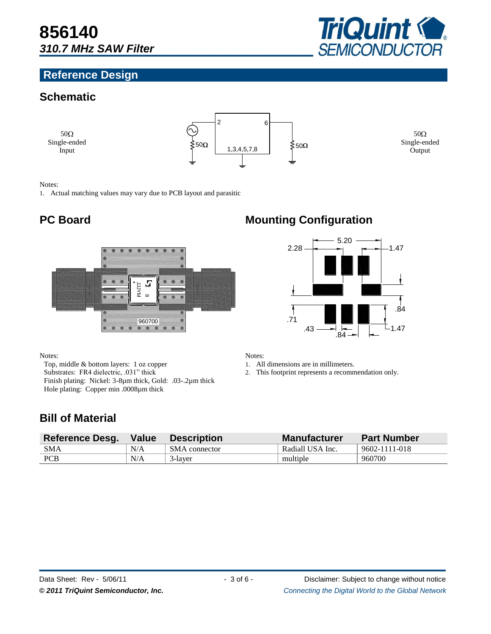#### **Reference Design**



#### **Schematic**

 $50\Omega$ Single-ended Input



 $50\Omega$ Single-ended Output

#### Notes:

1. Actual matching values may vary due to PCB layout and parasitic



Notes:

Top, middle & bottom layers: 1 oz copper Substrates: FR4 dielectric, .031" thick Finish plating: Nickel: 3-8µm thick, Gold: .03-.2µm thick Hole plating: Copper min .0008µm thick

### **PC Board Mounting Configuration**



Notes:

1. All dimensions are in millimeters.

2. This footprint represents a recommendation only.

#### **Bill of Material**

| <b>Reference Desg.</b> | Value | <b>Description</b> | <b>Manufacturer</b> | <b>Part Number</b> |
|------------------------|-------|--------------------|---------------------|--------------------|
| <b>SMA</b>             | N/A   | SMA connector      | Radiall USA Inc.    | 9602-1111-018      |
| <b>PCB</b>             | N/A   | 3-laver            | multiple            | 960700             |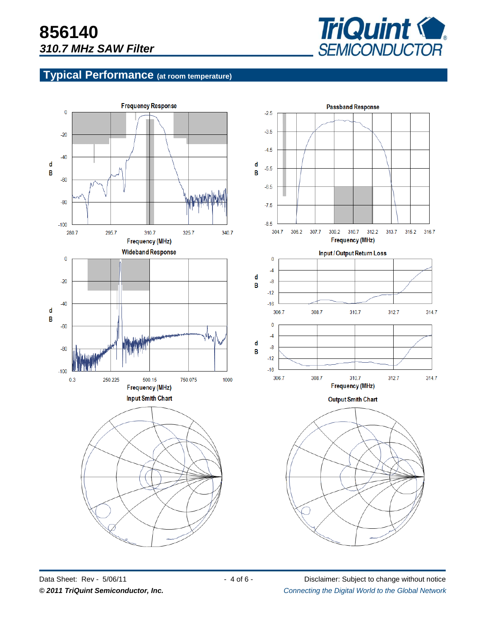

#### **Typical Performance (at room temperature)**



Data Sheet: Rev - 5/06/11 - 4 of 6 - Disclaimer: Subject to change without notice *© 2011 TriQuint Semiconductor, Inc. Connecting the Digital World to the Global Network ®*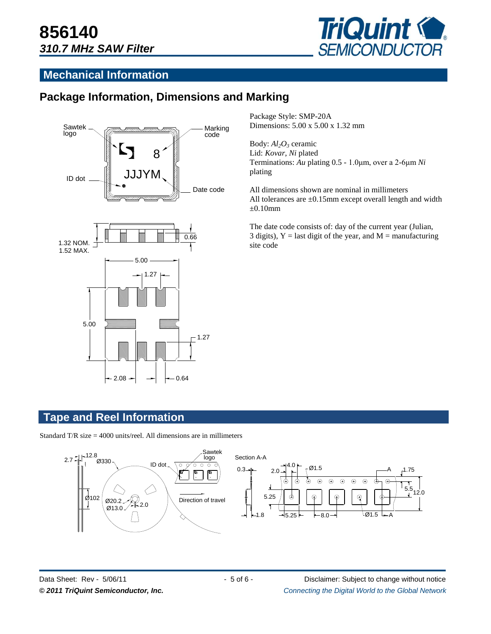

#### **Mechanical Information**

#### **Package Information, Dimensions and Marking**





Package Style: SMP-20A Dimensions: 5.00 x 5.00 x 1.32 mm

Body: *Al2O<sup>3</sup>* ceramic Lid: *Kovar*, *Ni* plated Terminations: *Au* plating 0.5 - 1.0μm, over a 2-6μm *Ni* plating

All dimensions shown are nominal in millimeters All tolerances are  $\pm 0.15$ mm except overall length and width  $\pm 0.10$ mm

The date code consists of: day of the current year (Julian, 3 digits),  $Y =$  last digit of the year, and  $M =$  manufacturing site code

#### **Tape and Reel Information**

Standard T/R size  $= 4000$  units/reel. All dimensions are in millimeters

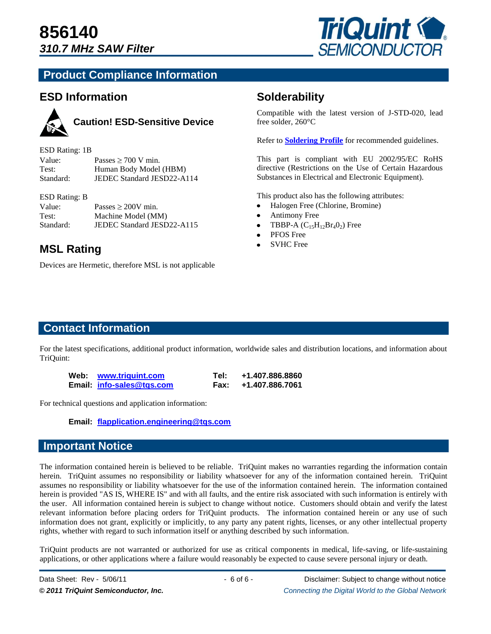

#### **Product Compliance Information**

#### **ESD Information**



### **Caution! ESD-Sensitive Device**

| ESD Rating: 1B |                            |
|----------------|----------------------------|
| Value:         | Passes $\geq 700$ V min.   |
| Test:          | Human Body Model (HBM)     |
| Standard:      | JEDEC Standard JESD22-A114 |

#### ESD Rating: B

| Value:    | Passes $\geq 200V$ min.    |
|-----------|----------------------------|
| Test:     | Machine Model (MM)         |
| Standard: | JEDEC Standard JESD22-A115 |

# **MSL Rating • SVHC Free**

Devices are Hermetic, therefore MSL is not applicable

#### **Solderability**

Compatible with the latest version of J-STD-020, lead free solder, 260°C

Refer to **[Soldering Profile](http://www.triquint.com/prodserv/tech_info/soldering.cfm)** for recommended guidelines.

This part is compliant with EU 2002/95/EC RoHS directive (Restrictions on the Use of Certain Hazardous Substances in Electrical and Electronic Equipment).

This product also has the following attributes:

- Halogen Free (Chlorine, Bromine)
- Antimony Free
- TBBP-A  $(C_{15}H_{12}Br_4O_2)$  Free  $\bullet$
- PFOS Free
- 

#### **Contact Information**

For the latest specifications, additional product information, worldwide sales and distribution locations, and information about TriQuint:

| Web: www.triguint.com     | Tel: . | +1.407.886.8860      |
|---------------------------|--------|----------------------|
| Email: info-sales@tgs.com |        | Fax: +1.407.886.7061 |

For technical questions and application information:

**Email: [flapplication.engineering@tqs.com](mailto:flapplication.engineering@tqs.com)**

#### **Important Notice**

The information contained herein is believed to be reliable. TriQuint makes no warranties regarding the information contain herein. TriQuint assumes no responsibility or liability whatsoever for any of the information contained herein. TriQuint assumes no responsibility or liability whatsoever for the use of the information contained herein. The information contained herein is provided "AS IS, WHERE IS" and with all faults, and the entire risk associated with such information is entirely with the user. All information contained herein is subject to change without notice. Customers should obtain and verify the latest relevant information before placing orders for TriQuint products. The information contained herein or any use of such information does not grant, explicitly or implicitly, to any party any patent rights, licenses, or any other intellectual property rights, whether with regard to such information itself or anything described by such information.

TriQuint products are not warranted or authorized for use as critical components in medical, life-saving, or life-sustaining applications, or other applications where a failure would reasonably be expected to cause severe personal injury or death.